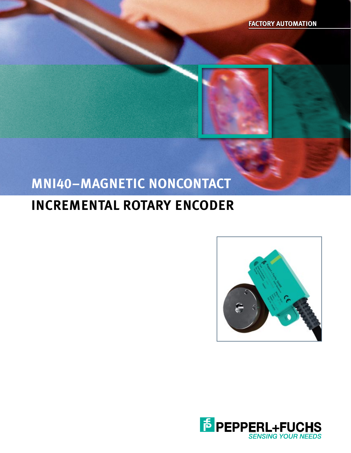

## **MNI40–MAGNETIC NONCONTACT**

## **INCREMENTAL ROTARY ENCODER**



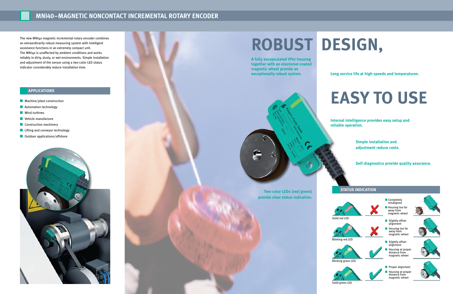### **MNI40–MAGNETIC NONCONTACT INCREMENTAL ROTARY ENCODER**

# **Robust Design,**

The new MNI40 magnetic incremental rotary encoder combines an extraordinarily robust measuring system with intelligent assistance functions in an extremely compact unit. The MNI40 is unaffected by ambient conditions and works reliably in dirty, dusty, or wet environments. Simple installation and adjustment of the sensor using a two-color LED status indicator considerably reduce installation time.

- **n** Machine/plant construction
- **n** Automation technology
- $\blacksquare$  Wind turbines
- $\blacksquare$  Vehicle manufacture
- **n** Construction machinery
- **n** Lifting and conveyor technology
- $\Box$  Outdoor applications/offshore



- **Completely** misaligned
- **Housing too far** away from magnetic wheel
- $\blacksquare$  Slightly offset alignment
- **n** Housing too far away from magnetic wheel
- $\blacksquare$  Slightly offset alignment
- $\blacksquare$  Housing at proper distance from magnetic wheel
- **n** Proper alignment  $\blacksquare$  Housing at proper distance from magnetic wheel





**A fully encapsulated IP67 housing together with an elastomer-coated magnetic wheel provide an exceptionally robust system.**

> **Internal intelligence provides easy setup and reliable operation.**

> > **Simple installation and adjustment reduce costs.**

**Self-diagnostics provide quality assurance.**

**Long service life at high speeds and temperatures.**

# **expericaTions**<br>achine/plant construction





Solid green LED